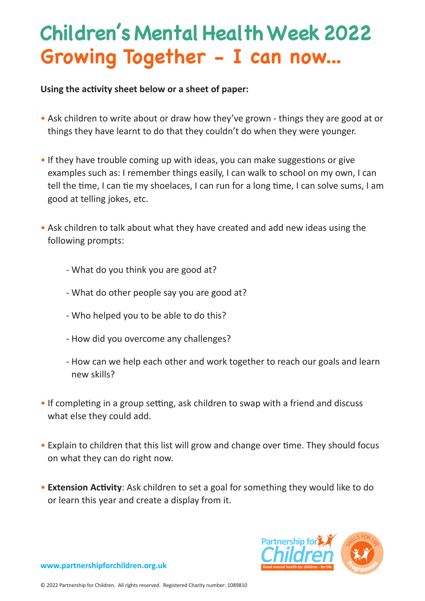## **Growing Together - I can now... Children's Mental Health Week 2022**

#### **Using the activity sheet below or a sheet of paper:**

- Ask children to write about or draw how they've grown things they are good at or things they have learnt to do that they couldn't do when they were younger.
- If they have trouble coming up with ideas, you can make suggestions or give examples such as: I remember things easily, I can walk to school on my own, I can tell the time, I can tie my shoelaces, I can run for a long time, I can solve sums, I am good at telling jokes, etc.
- Ask children to talk about what they have created and add new ideas using the following prompts:
	- What do you think you are good at?
	- What do other people say you are good at?
	- Who helped you to be able to do this?
	- How did you overcome any challenges?
	- How can we help each other and work together to reach our goals and learn new skills?
- If completing in a group setting, ask children to swap with a friend and discuss what else they could add.
- Explain to children that this list will grow and change over time. They should focus on what they can do right now.
- **Extension Activity**: Ask children to set a goal for something they would like to do or learn this year and create a display from it.



**www.partnershipforchildren.org.uk**